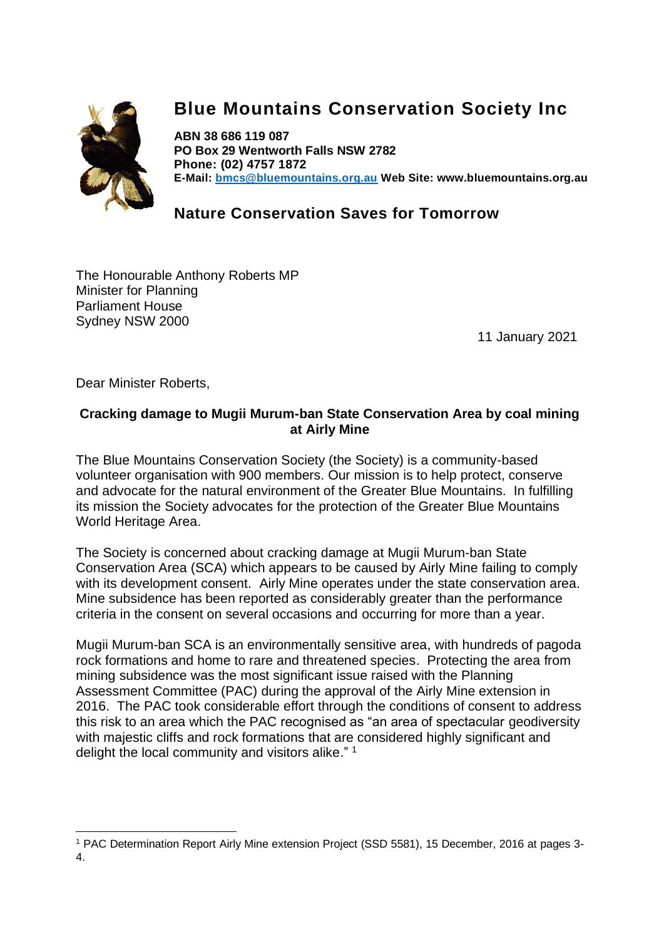

# **Blue Mountains Conservation Society Inc**

**ABN 38 686 119 087 PO Box 29 Wentworth Falls NSW 2782 Phone: (02) 4757 1872 E-Mail: [bmcs@bluemountains.org.au](mailto:bmcs@bluemountains.org.au) Web Site: www.bluemountains.org.au**

# **Nature Conservation Saves for Tomorrow**

The Honourable Anthony Roberts MP Minister for Planning Parliament House Sydney NSW 2000

11 January 2021

Dear Minister Roberts,

## **Cracking damage to Mugii Murum-ban State Conservation Area by coal mining at Airly Mine**

The Blue Mountains Conservation Society (the Society) is a community-based volunteer organisation with 900 members. Our mission is to help protect, conserve and advocate for the natural environment of the Greater Blue Mountains. In fulfilling its mission the Society advocates for the protection of the Greater Blue Mountains World Heritage Area.

The Society is concerned about cracking damage at Mugii Murum-ban State Conservation Area (SCA) which appears to be caused by Airly Mine failing to comply with its development consent. Airly Mine operates under the state conservation area. Mine subsidence has been reported as considerably greater than the performance criteria in the consent on several occasions and occurring for more than a year.

Mugii Murum-ban SCA is an environmentally sensitive area, with hundreds of pagoda rock formations and home to rare and threatened species. Protecting the area from mining subsidence was the most significant issue raised with the Planning Assessment Committee (PAC) during the approval of the Airly Mine extension in 2016. The PAC took considerable effort through the conditions of consent to address this risk to an area which the PAC recognised as "an area of spectacular geodiversity with majestic cliffs and rock formations that are considered highly significant and delight the local community and visitors alike."<sup>1</sup>

<sup>1</sup> PAC Determination Report Airly Mine extension Project (SSD 5581), 15 December, 2016 at pages 3- 4.